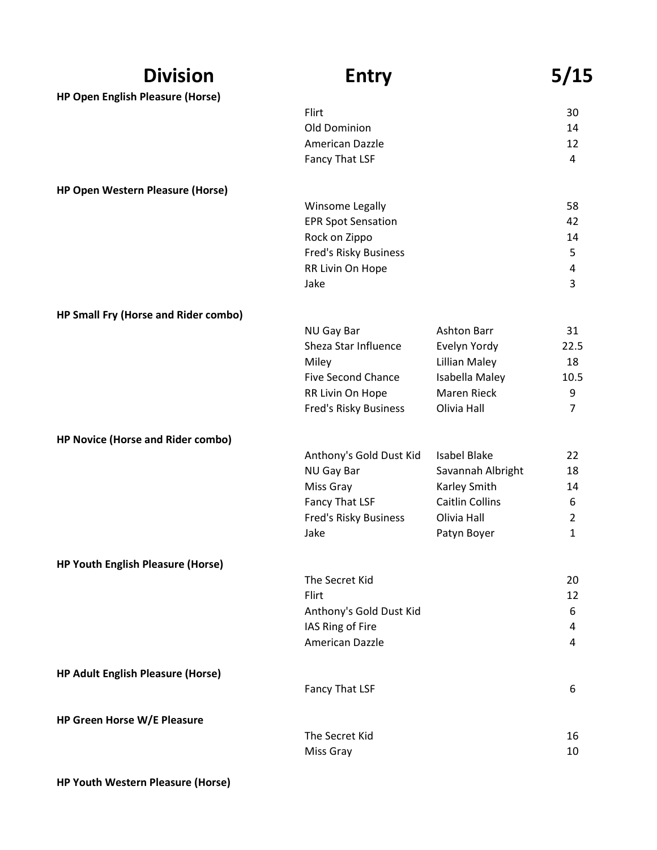| <b>Division</b>                          | <b>Entry</b>                                  |                                       | 5/15                |
|------------------------------------------|-----------------------------------------------|---------------------------------------|---------------------|
| <b>HP Open English Pleasure (Horse)</b>  |                                               |                                       |                     |
|                                          | Flirt                                         |                                       | 30                  |
|                                          | Old Dominion                                  |                                       | 14                  |
|                                          | American Dazzle                               |                                       | 12<br>4             |
|                                          | Fancy That LSF                                |                                       |                     |
| HP Open Western Pleasure (Horse)         |                                               |                                       |                     |
|                                          | Winsome Legally                               |                                       | 58                  |
|                                          | <b>EPR Spot Sensation</b>                     |                                       | 42                  |
|                                          | Rock on Zippo                                 |                                       | 14                  |
|                                          | Fred's Risky Business                         |                                       | 5                   |
|                                          | RR Livin On Hope<br>Jake                      |                                       | 4<br>3              |
|                                          |                                               |                                       |                     |
| HP Small Fry (Horse and Rider combo)     |                                               |                                       |                     |
|                                          | <b>NU Gay Bar</b>                             | Ashton Barr                           | 31                  |
|                                          | Sheza Star Influence                          | Evelyn Yordy                          | 22.5                |
|                                          | Miley                                         | Lillian Maley                         | 18                  |
|                                          | <b>Five Second Chance</b><br>RR Livin On Hope | Isabella Maley<br>Maren Rieck         | 10.5<br>9           |
|                                          | Fred's Risky Business                         | Olivia Hall                           | $\overline{7}$      |
|                                          |                                               |                                       |                     |
| HP Novice (Horse and Rider combo)        |                                               |                                       |                     |
|                                          | Anthony's Gold Dust Kid                       | <b>Isabel Blake</b>                   | 22                  |
|                                          | NU Gay Bar                                    | Savannah Albright                     | 18                  |
|                                          | Miss Gray                                     | Karley Smith                          | 14                  |
|                                          | Fancy That LSF<br>Fred's Risky Business       | <b>Caitlin Collins</b><br>Olivia Hall | 6<br>$\overline{2}$ |
|                                          | Jake                                          | Patyn Boyer                           | $\mathbf{1}$        |
|                                          |                                               |                                       |                     |
| <b>HP Youth English Pleasure (Horse)</b> |                                               |                                       |                     |
|                                          | The Secret Kid                                |                                       | 20                  |
|                                          | Flirt                                         |                                       | 12                  |
|                                          | Anthony's Gold Dust Kid                       |                                       | 6                   |
|                                          | IAS Ring of Fire<br>American Dazzle           |                                       | 4<br>4              |
|                                          |                                               |                                       |                     |
| <b>HP Adult English Pleasure (Horse)</b> |                                               |                                       |                     |
|                                          | Fancy That LSF                                |                                       | 6                   |
|                                          |                                               |                                       |                     |
| HP Green Horse W/E Pleasure              | The Secret Kid                                |                                       | 16                  |
|                                          | Miss Gray                                     |                                       | 10                  |
|                                          |                                               |                                       |                     |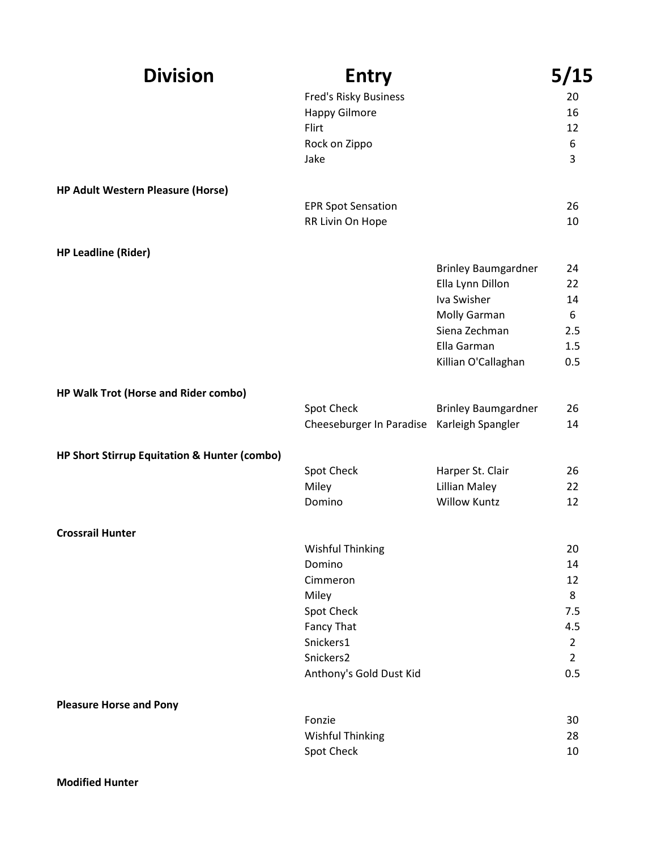| <b>Division</b>                              | <b>Entry</b>                 |                            | 5/15           |
|----------------------------------------------|------------------------------|----------------------------|----------------|
|                                              | <b>Fred's Risky Business</b> |                            | 20             |
|                                              | <b>Happy Gilmore</b>         |                            | 16             |
|                                              | Flirt                        |                            | 12             |
|                                              | Rock on Zippo                |                            | 6              |
|                                              | Jake                         |                            | 3              |
| <b>HP Adult Western Pleasure (Horse)</b>     |                              |                            |                |
|                                              | <b>EPR Spot Sensation</b>    |                            | 26             |
|                                              | RR Livin On Hope             |                            | 10             |
| <b>HP Leadline (Rider)</b>                   |                              |                            |                |
|                                              |                              | <b>Brinley Baumgardner</b> | 24             |
|                                              |                              | Ella Lynn Dillon           | 22             |
|                                              |                              | Iva Swisher                | 14             |
|                                              |                              | Molly Garman               | 6              |
|                                              |                              | Siena Zechman              | 2.5            |
|                                              |                              | Ella Garman                | 1.5            |
|                                              |                              | Killian O'Callaghan        | 0.5            |
| HP Walk Trot (Horse and Rider combo)         |                              |                            |                |
|                                              | Spot Check                   | <b>Brinley Baumgardner</b> | 26             |
|                                              | Cheeseburger In Paradise     | Karleigh Spangler          | 14             |
| HP Short Stirrup Equitation & Hunter (combo) |                              |                            |                |
|                                              | Spot Check                   | Harper St. Clair           | 26             |
|                                              | Miley                        | <b>Lillian Maley</b>       | 22             |
|                                              | Domino                       | <b>Willow Kuntz</b>        | 12             |
| <b>Crossrail Hunter</b>                      |                              |                            |                |
|                                              | <b>Wishful Thinking</b>      |                            | 20             |
|                                              | Domino                       |                            | 14             |
|                                              | Cimmeron                     |                            | 12             |
|                                              | Miley                        |                            | 8              |
|                                              | Spot Check                   |                            | 7.5            |
|                                              | Fancy That                   |                            | 4.5            |
|                                              | Snickers1                    |                            | $\overline{2}$ |
|                                              | Snickers2                    |                            | $2^{\circ}$    |
|                                              | Anthony's Gold Dust Kid      |                            | 0.5            |
| <b>Pleasure Horse and Pony</b>               |                              |                            |                |
|                                              | Fonzie                       |                            | 30             |
|                                              | <b>Wishful Thinking</b>      |                            | 28             |
|                                              | Spot Check                   |                            | 10             |